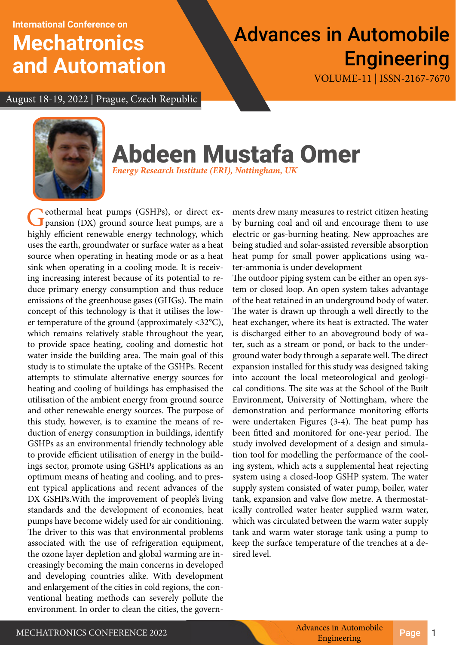**International Conference on**

## **Mechatronics and Automation**

# Advances in Automobile **Engineering**

VOLUME-11 | ISSN-2167-7670

August 18-19, 2022 | Prague, Czech Republic



# Abdeen Mustafa Omer

*Energy Research Institute (ERI), Nottingham, UK*

Ceothermal heat pumps (GSHPs), or direct expansion (DX) ground source heat pumps, are a highly efficient renewable energy technology, which uses the earth, groundwater or surface water as a heat source when operating in heating mode or as a heat sink when operating in a cooling mode. It is receiving increasing interest because of its potential to reduce primary energy consumption and thus reduce emissions of the greenhouse gases (GHGs). The main concept of this technology is that it utilises the lower temperature of the ground (approximately <32°C), which remains relatively stable throughout the year, to provide space heating, cooling and domestic hot water inside the building area. The main goal of this study is to stimulate the uptake of the GSHPs. Recent attempts to stimulate alternative energy sources for heating and cooling of buildings has emphasised the utilisation of the ambient energy from ground source and other renewable energy sources. The purpose of this study, however, is to examine the means of reduction of energy consumption in buildings, identify GSHPs as an environmental friendly technology able to provide efficient utilisation of energy in the buildings sector, promote using GSHPs applications as an optimum means of heating and cooling, and to present typical applications and recent advances of the DX GSHPs.With the improvement of people's living standards and the development of economies, heat pumps have become widely used for air conditioning. The driver to this was that environmental problems associated with the use of refrigeration equipment, the ozone layer depletion and global warming are increasingly becoming the main concerns in developed and developing countries alike. With development and enlargement of the cities in cold regions, the conventional heating methods can severely pollute the environment. In order to clean the cities, the govern-

ments drew many measures to restrict citizen heating by burning coal and oil and encourage them to use electric or gas-burning heating. New approaches are being studied and solar-assisted reversible absorption heat pump for small power applications using water-ammonia is under development

The outdoor piping system can be either an open system or closed loop. An open system takes advantage of the heat retained in an underground body of water. The water is drawn up through a well directly to the heat exchanger, where its heat is extracted. The water is discharged either to an aboveground body of water, such as a stream or pond, or back to the underground water body through a separate well. The direct expansion installed for this study was designed taking into account the local meteorological and geological conditions. The site was at the School of the Built Environment, University of Nottingham, where the demonstration and performance monitoring efforts were undertaken Figures (3-4). The heat pump has been fitted and monitored for one-year period. The study involved development of a design and simulation tool for modelling the performance of the cooling system, which acts a supplemental heat rejecting system using a closed-loop GSHP system. The water supply system consisted of water pump, boiler, water tank, expansion and valve flow metre. A thermostatically controlled water heater supplied warm water, which was circulated between the warm water supply tank and warm water storage tank using a pump to keep the surface temperature of the trenches at a desired level.